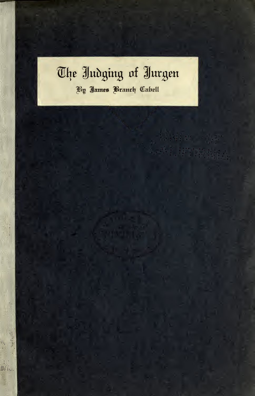# The Judging of Jurgen

By James Branch Cabell

**Control** ۲.,

intig.

 $\mathcal{L}$  , where  $\mathcal{L}$ 

**. 1971 19 AM**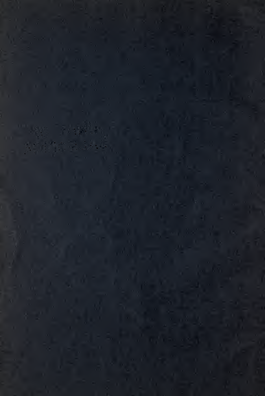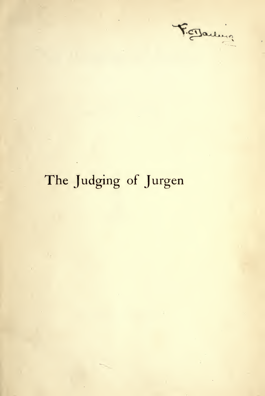Ferancis

### The Judging of Jurgen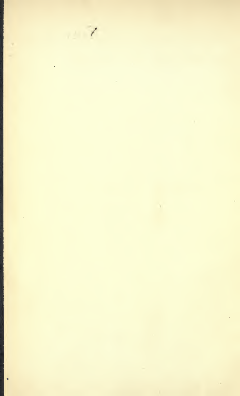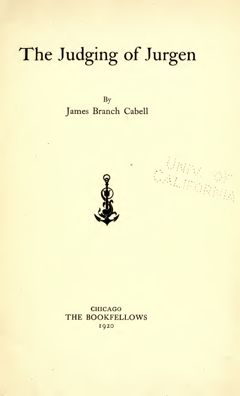# The Judging of Jurgen

By James Branch Cabell



Mary<br>B. manag

**CHICAGO** THE BOOKFELLOWS 1920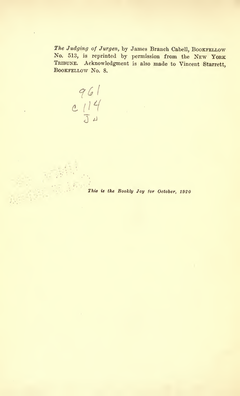The Judging of Jurgen, by James Branch Cabell, BOOKFELLOW No. 513, is reprinted by permission from the NEW YORK TRIBUNE. Acknowledgment is also made to Vincent Starrett, BOOKFELLOW No. 8.

 $961$  $c$   $114$ 

This is the Bookly Joy for October, 1920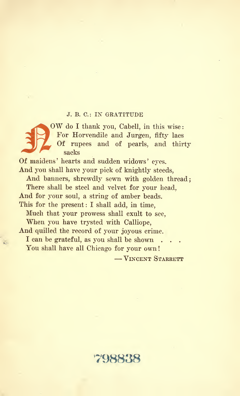#### J. B. C.: IN GRATITUDE

OW do <sup>I</sup> thank you, Cabell, in this wise : For Horvendile and Jurgen, fifty lacs Of rupees and of pearls, and thirty sacks

Of maidens' hearts and sudden widows' eyes. And you shall have your pick of knightly steeds,

And banners, shrewdly sewn with golden thread; There shall be steel and velvet for your head, And for your soul, <sup>a</sup> string of amber beads.

This for the present: I shall add, in time,<br>Much that your prowess shall exult to see, When you have trysted with Calliope,

And quilled the record of your joyous crime. I can be grateful, as you shall be shown You shall have all Chicago for your own !

VINCENT STARRETT

#### 798838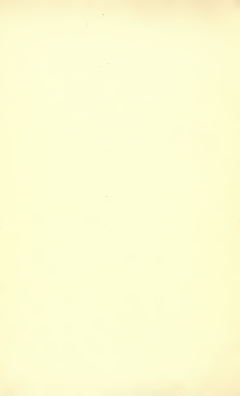J.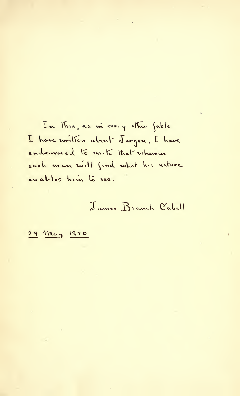In this, as in every other fable I have unitten about Jurgen, I have endeuvered to write that wherein each man will find what his nature enables him to see.

### James Branch Cabell

#### 29 May 1920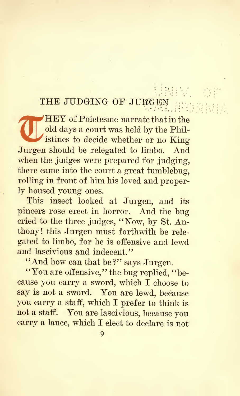#### THE JUDGING OF JURGEN

 $\blacktriangleright$  HEY of Poictesme narrate that in the old days a court was held by the Philistines to decide whether or no King<br>a should be relegated to limbo. And Jurgen should be relegated to limbo. when the judges were prepared for judging, there came into the court <sup>a</sup> great tumblebug, rolling in front of him his loved and proper ly housed young ones.

This insect looked at Jurgen, and its pincers rose erect in horror. And the bug cried to the three judges, "Now, by St. An thony! this Jurgen must forthwith be rele gated to limbo, for he is offensive and lewd and lascivious and indecent."

"And how can that be?" says Jurgen.

"You are offensive, " the bug replied, "be cause you carry a sword, which I choose to say is not <sup>a</sup> sword. You are lewd, because you carry a staff, which I prefer to think is not <sup>a</sup> staff. You are lascivious, because you carry a lance, which I elect to declare is not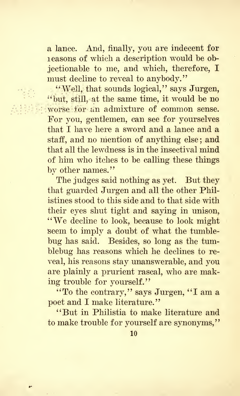a lance. And, finally, you are indecent for leasons of which a description would be ob jectionable to me, and which, therefore, I must decline to reveal to anybody."

"Well, that sounds logical," says Jurgen, "but, still, at the same time, it would be no worse for an admixture of common sense. For you, gentlemen, can see for yourselves that I have here a sword and a lance and a staff, and no mention of anything else ; and that all the lewdness is in the insectival mind of him who itches to be calling these things by other names."

> The judges said nothing as yet. But they that guarded Jurgen and all the other Phil istines stood to this side and to that side with their eyes shut tight and saying in unison, "We decline to look, because to look might Seem to imply a doubt of what the tumblebug has said. Besides, so long as the tumblebug has reasons which he declines to re veal, his reasons stay unanswerable, and you are plainly <sup>a</sup> prurient rascal, who are mak ing trouble for yourself."

> "To the contrary," says Jurgen, "I am <sup>a</sup> poet and <sup>I</sup> make literature."

> "But in Philistia to make literature and to make trouble for yourself are synonyms,"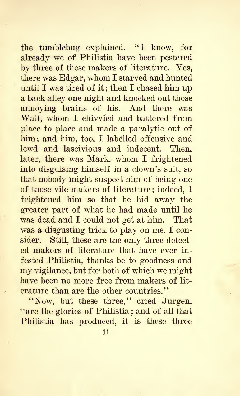the tumblebug explained. "I know, for already we of Philistia have been pestered by three of these makers of literature. Yes, there was Edgar, whom <sup>I</sup> starved and hunted until I was tired of it; then I chased him up a back alley one night and knocked out those annoying brains of his. And there was Walt, whom <sup>I</sup> chivvied and battered from place to place and made <sup>a</sup> paralytic out of him; and him, too, I labelled offensive and<br>lewd and lascivious and indecent. Then, lewd and lascivious and indecent. later, there was Mark, whom I frightened into disguising himself in a clown's suit, so that nobody might suspect him of being one of those vile makers of literature ; indeed, I frightened him so that he hid away the greater part of what he had made until he<br>was dead and I could not get at him. That was dead and I could not get at him. was <sup>a</sup> disgusting trick to play on me, <sup>I</sup> con sider. Still, these are the only three detected makers of literature that have ever in fested Philistia, thanks be to goodness and my vigilance, but for both of which we might have been no more free from makers of lit erature than are the other countries."

"Now, but these three," cried Jurgen, "are the glories of Philistia; and of all that Philistia has produced, it is these three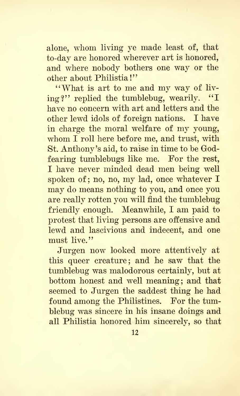alone, whom living ye made least of, that to-day are honored wherever art is honored, and where nobody bothers one way or the other about Philistia!"

"What is art to me and my way of living?" replied the tumblebug, wearily. "I have no concern with art and letters and the other lewd idols of foreign nations. I have in charge the moral welfare of my young, whom <sup>I</sup> roll here before me, and trust, with St. Anthony's aid, to raise in time to be Godfearing tumblebugs like me. For the rest, <sup>I</sup> have never minded dead men being well spoken of; no, no, my lad, once whatever I may do means nothing to you, and once you are really rotten you will find the tumblebug friendly enough. Meanwhile, <sup>I</sup> am paid to protest that living persons are offensive and lewd and lascivious and indecent, and one must live."

Jurgen now looked more attentively at this queer creature; and he saw that the tumblebug was malodorous certainly, but at bottom honest and well meaning; and that seemed to Jurgen the saddest thing he had found among the Philistines. For the tum blebug was sincere in his insane doings and all Philistia honored him sincerely, so that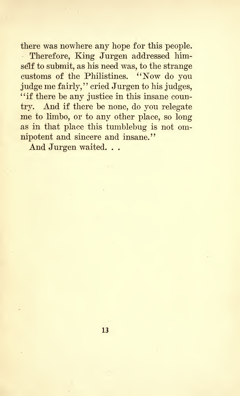there was nowhere any hope for this people. Therefore, King Jurgen addressed him self to submit, as his need was, to the strange<br>customs of the Philistines. "Now do you customs of the Philistines. judge me fairly," cried Jurgen to his judges, "if there be any justice in this insane country. And if there be none, do you relegate me to limbo, or to any other place, so long as in that place this tumblebug is not om nipotent and sincere and insane."

And Jurgen waited. . .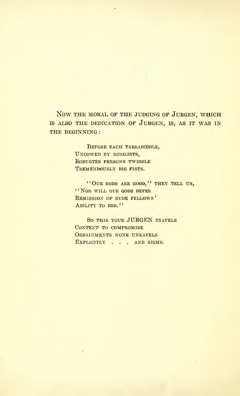NOW THE MORAL OF THE JUDGING OF JURGEN, WHICH IS ALSO THE DEDICATION OF JURGEN, IS, AS IT WAS IN THE BEGINNING:

> BEFORE EACH TARRADIDDLE, UNCOWED BY SCIOLISTS, EOBUSTER PERSONS TWIDDLE TREMENDOUSLY BIG FISTS.

"OUR GODS ARE GOOD," THEY TELL US, NOR WILL OUR GODS DEFER REMISSION OF RUDE FELLOWS' ABILITY TO ERR."

SO THIS YOUR JURGEN TRAVELS CONTENT TO COMPROMISE ORDAINMENTS NONE UNRAVELS EXPLICITLY . . . AND SIGHS.